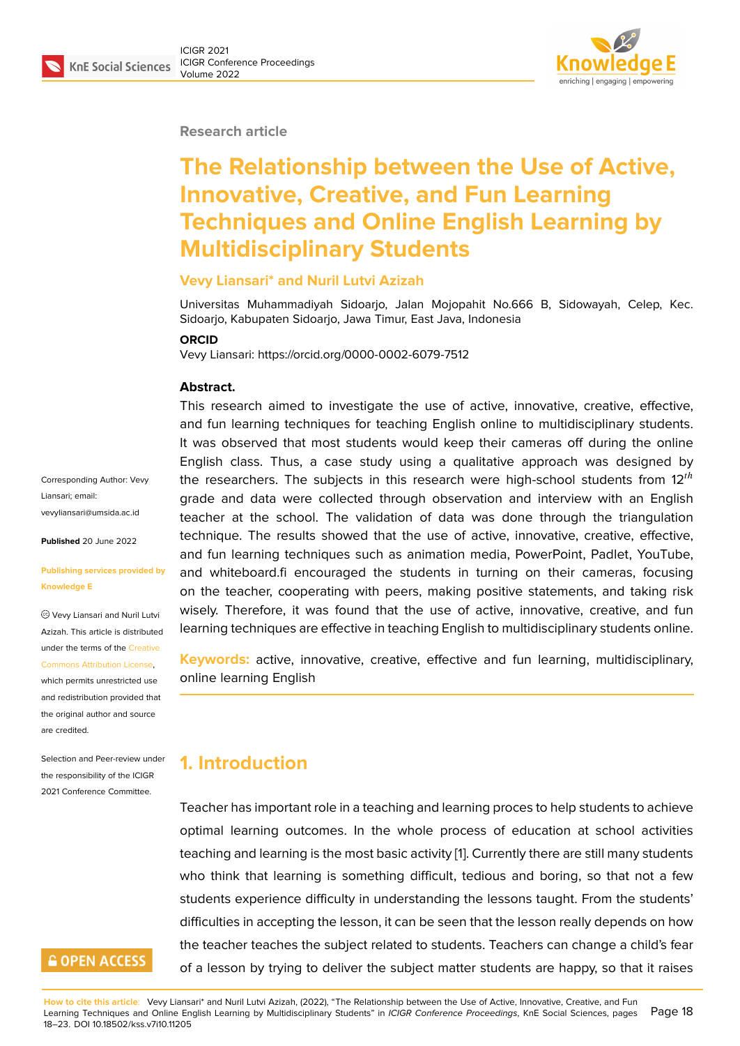#### **Research article**

# **The Relationship between the Use of Active, Innovative, Creative, and Fun Learning Techniques and Online English Learning by Multidisciplinary Students**

#### **Vevy Liansari\* and Nuril Lutvi Azizah**

Universitas Muhammadiyah Sidoarjo, Jalan Mojopahit No.666 B, Sidowayah, Celep, Kec. Sidoarjo, Kabupaten Sidoarjo, Jawa Timur, East Java, Indonesia

#### **ORCID**

Vevy Liansari: https://orcid.org/0000-0002-6079-7512

#### **Abstract.**

This research aimed to investigate the use of active, innovative, creative, effective, and fun learning techniques for teaching English online to multidisciplinary students. It was observed that most students would keep their cameras off during the online English class. Thus, a case study using a qualitative approach was designed by the researchers. The subjects in this research were high-school students from  $12^{th}$ grade and data were collected through observation and interview with an English teacher at the school. The validation of data was done through the triangulation technique. The results showed that the use of active, innovative, creative, effective, and fun learning techniques such as animation media, PowerPoint, Padlet, YouTube, and whiteboard.fi encouraged the students in turning on their cameras, focusing on the teacher, cooperating with peers, making positive statements, and taking risk wisely. Therefore, it was found that the use of active, innovative, creative, and fun learning techniques are effective in teaching English to multidisciplinary students online.

**Keywords:** active, innovative, creative, effective and fun learning, multidisciplinary, online learning English

### **1. Introduction**

Teacher has important role in a teaching and learning proces to help students to achieve optimal learning outcomes. In the whole process of education at school activities teaching and learning is the most basic activity [1]. Currently there are still many students who think that learning is something difficult, tedious and boring, so that not a few students experience difficulty in understanding the lessons taught. From the students' difficulties in accepting the lesson, it can be se[en](#page-5-0) that the lesson really depends on how the teacher teaches the subject related to students. Teachers can change a child's fear of a lesson by trying to deliver the subject matter students are happy, so that it raises

Corresponding Author: Vevy Liansari; email: vevyliansari@umsida.ac.id

**Published** 20 June 2022

#### **[Publishing services provid](mailto:vevyliansari@umsida.ac.id)ed by Knowledge E**

Vevy Liansari and Nuril Lutvi Azizah. This article is distributed under the terms of the Creative Commons Attribution License,

which permits unrestricted use and redistribution provided that the original author and [source](https://creativecommons.org/licenses/by/4.0/) [are credited.](https://creativecommons.org/licenses/by/4.0/)

Selection and Peer-review under the responsibility of the ICIGR 2021 Conference Committee.

### **GOPEN ACCESS**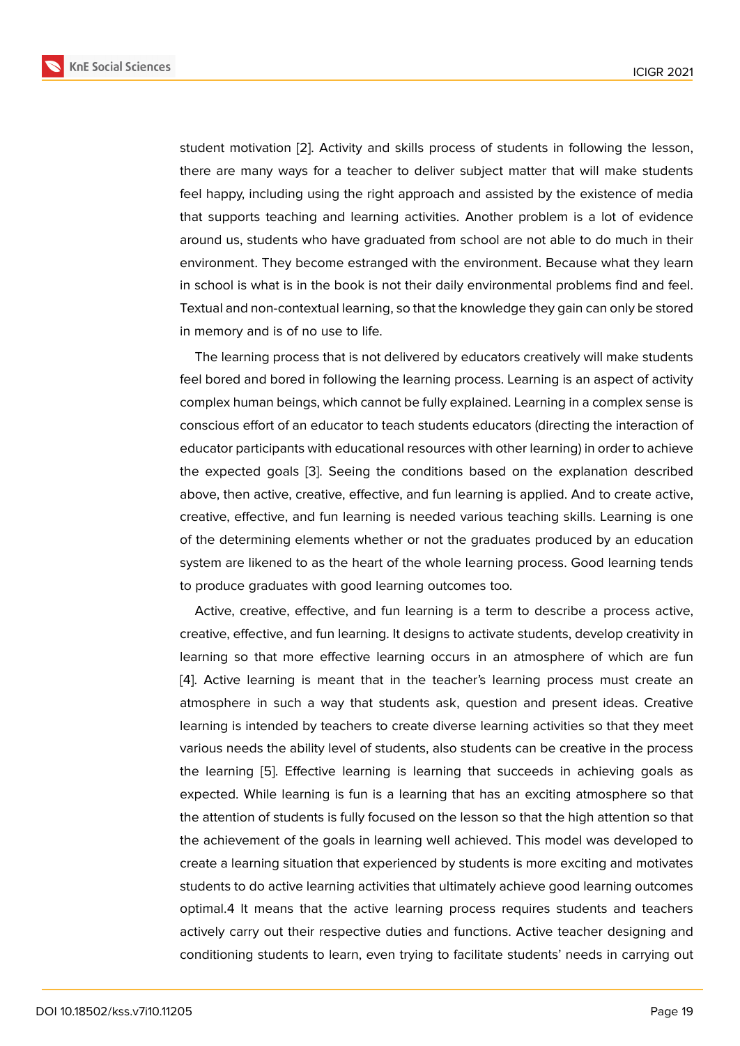student motivation [2]. Activity and skills process of students in following the lesson, there are many ways for a teacher to deliver subject matter that will make students feel happy, including using the right approach and assisted by the existence of media that supports teach[in](#page-5-1)g and learning activities. Another problem is a lot of evidence around us, students who have graduated from school are not able to do much in their environment. They become estranged with the environment. Because what they learn in school is what is in the book is not their daily environmental problems find and feel. Textual and non-contextual learning, so that the knowledge they gain can only be stored in memory and is of no use to life.

The learning process that is not delivered by educators creatively will make students feel bored and bored in following the learning process. Learning is an aspect of activity complex human beings, which cannot be fully explained. Learning in a complex sense is conscious effort of an educator to teach students educators (directing the interaction of educator participants with educational resources with other learning) in order to achieve the expected goals [3]. Seeing the conditions based on the explanation described above, then active, creative, effective, and fun learning is applied. And to create active, creative, effective, and fun learning is needed various teaching skills. Learning is one of the determining el[em](#page-5-2)ents whether or not the graduates produced by an education system are likened to as the heart of the whole learning process. Good learning tends to produce graduates with good learning outcomes too.

Active, creative, effective, and fun learning is a term to describe a process active, creative, effective, and fun learning. It designs to activate students, develop creativity in learning so that more effective learning occurs in an atmosphere of which are fun [4]. Active learning is meant that in the teacher's learning process must create an atmosphere in such a way that students ask, question and present ideas. Creative learning is intended by teachers to create diverse learning activities so that they meet [va](#page-5-3)rious needs the ability level of students, also students can be creative in the process the learning [5]. Effective learning is learning that succeeds in achieving goals as expected. While learning is fun is a learning that has an exciting atmosphere so that the attention of students is fully focused on the lesson so that the high attention so that the achievem[en](#page-5-4)t of the goals in learning well achieved. This model was developed to create a learning situation that experienced by students is more exciting and motivates students to do active learning activities that ultimately achieve good learning outcomes optimal.4 It means that the active learning process requires students and teachers actively carry out their respective duties and functions. Active teacher designing and conditioning students to learn, even trying to facilitate students' needs in carrying out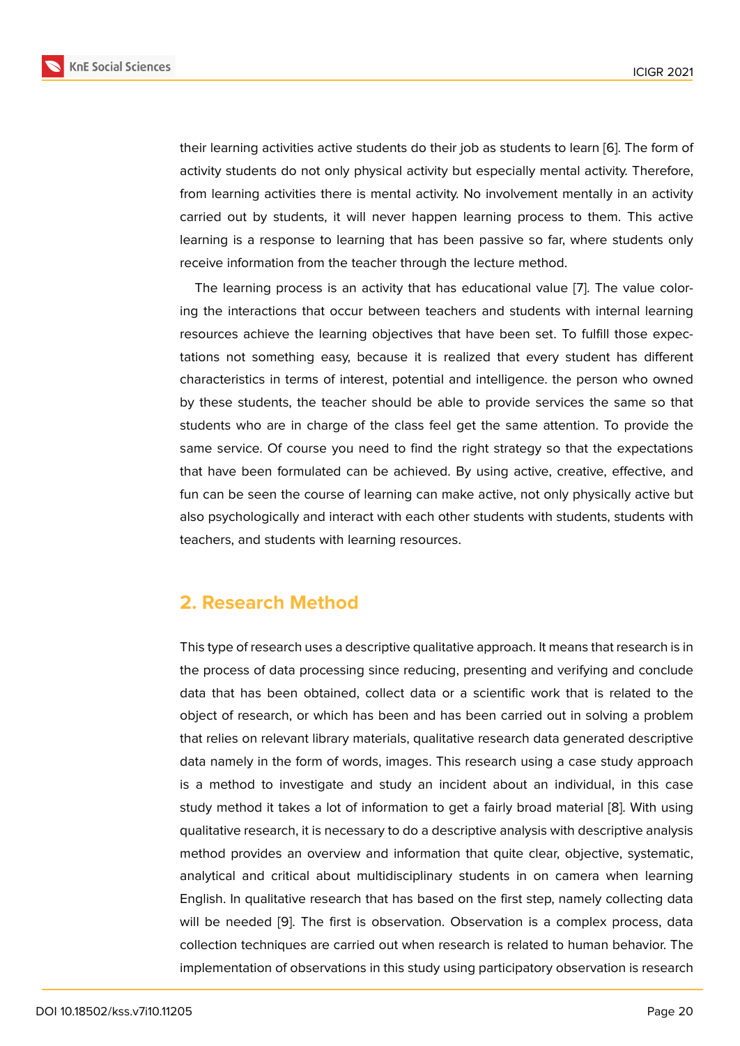their learning activities active students do their job as students to learn [6]. The form of activity students do not only physical activity but especially mental activity. Therefore, from learning activities there is mental activity. No involvement mentally in an activity carried out by students, it will never happen learning process to th[em](#page-5-5). This active learning is a response to learning that has been passive so far, where students only receive information from the teacher through the lecture method.

The learning process is an activity that has educational value [7]. The value coloring the interactions that occur between teachers and students with internal learning resources achieve the learning objectives that have been set. To fulfill those expectations not something easy, because it is realized that every st[ud](#page-5-6)ent has different characteristics in terms of interest, potential and intelligence. the person who owned by these students, the teacher should be able to provide services the same so that students who are in charge of the class feel get the same attention. To provide the same service. Of course you need to find the right strategy so that the expectations that have been formulated can be achieved. By using active, creative, effective, and fun can be seen the course of learning can make active, not only physically active but also psychologically and interact with each other students with students, students with teachers, and students with learning resources.

#### **2. Research Method**

This type of research uses a descriptive qualitative approach. It means that research is in the process of data processing since reducing, presenting and verifying and conclude data that has been obtained, collect data or a scientific work that is related to the object of research, or which has been and has been carried out in solving a problem that relies on relevant library materials, qualitative research data generated descriptive data namely in the form of words, images. This research using a case study approach is a method to investigate and study an incident about an individual, in this case study method it takes a lot of information to get a fairly broad material [8]. With using qualitative research, it is necessary to do a descriptive analysis with descriptive analysis method provides an overview and information that quite clear, objective, systematic, analytical and critical about multidisciplinary students in on camera [wh](#page-5-7)en learning English. In qualitative research that has based on the first step, namely collecting data will be needed [9]. The first is observation. Observation is a complex process, data collection techniques are carried out when research is related to human behavior. The implementation of observations in this study using participatory observation is research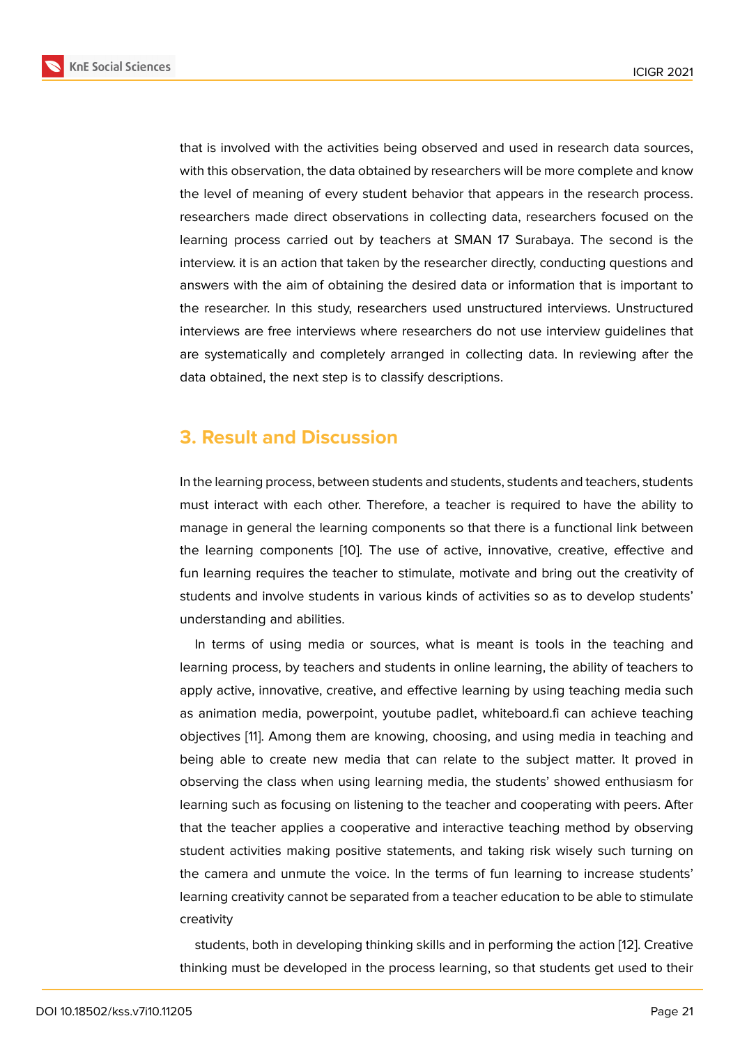that is involved with the activities being observed and used in research data sources, with this observation, the data obtained by researchers will be more complete and know the level of meaning of every student behavior that appears in the research process. researchers made direct observations in collecting data, researchers focused on the learning process carried out by teachers at SMAN 17 Surabaya. The second is the interview. it is an action that taken by the researcher directly, conducting questions and answers with the aim of obtaining the desired data or information that is important to the researcher. In this study, researchers used unstructured interviews. Unstructured interviews are free interviews where researchers do not use interview guidelines that are systematically and completely arranged in collecting data. In reviewing after the data obtained, the next step is to classify descriptions.

### **3. Result and Discussion**

In the learning process, between students and students, students and teachers, students must interact with each other. Therefore, a teacher is required to have the ability to manage in general the learning components so that there is a functional link between the learning components [10]. The use of active, innovative, creative, effective and fun learning requires the teacher to stimulate, motivate and bring out the creativity of students and involve students in various kinds of activities so as to develop students' understanding and abilities[.](#page-5-8)

In terms of using media or sources, what is meant is tools in the teaching and learning process, by teachers and students in online learning, the ability of teachers to apply active, innovative, creative, and effective learning by using teaching media such as animation media, powerpoint, youtube padlet, whiteboard.fi can achieve teaching objectives [11]. Among them are knowing, choosing, and using media in teaching and being able to create new media that can relate to the subject matter. It proved in observing the class when using learning media, the students' showed enthusiasm for learning su[ch](#page-5-9) as focusing on listening to the teacher and cooperating with peers. After that the teacher applies a cooperative and interactive teaching method by observing student activities making positive statements, and taking risk wisely such turning on the camera and unmute the voice. In the terms of fun learning to increase students' learning creativity cannot be separated from a teacher education to be able to stimulate creativity

students, both in developing thinking skills and in performing the action [12]. Creative thinking must be developed in the process learning, so that students get used to their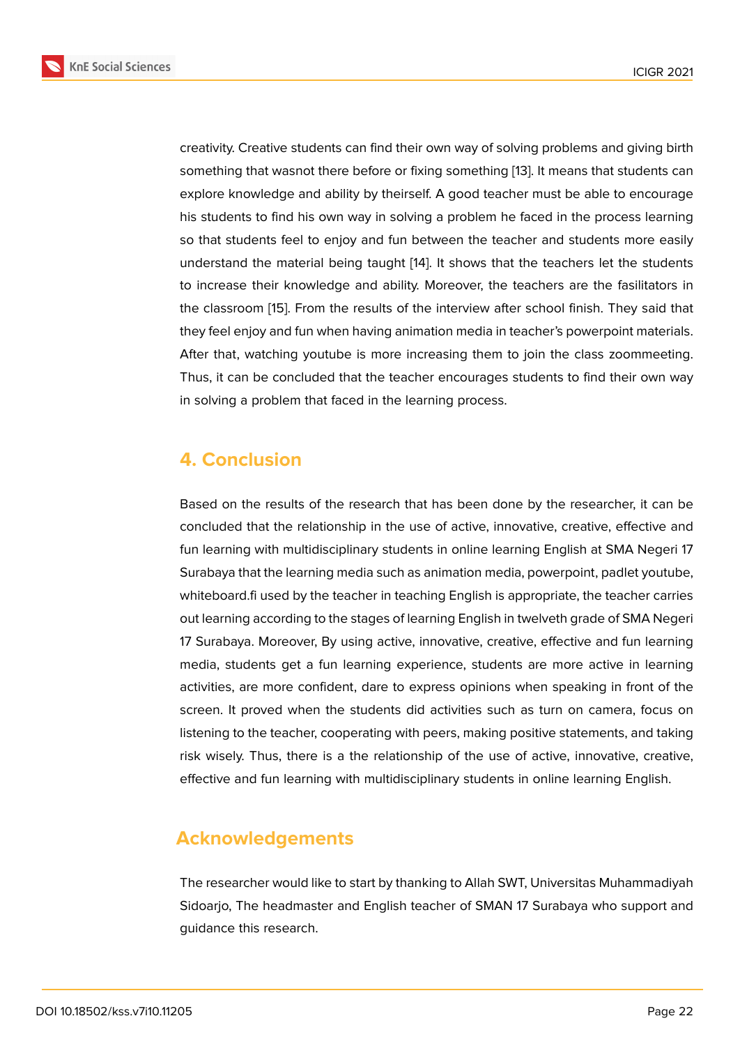creativity. Creative students can find their own way of solving problems and giving birth something that wasnot there before or fixing something [13]. It means that students can explore knowledge and ability by theirself. A good teacher must be able to encourage his students to find his own way in solving a problem he faced in the process learning so that students feel to enjoy and fun between the tea[che](#page-5-10)r and students more easily understand the material being taught [14]. It shows that the teachers let the students to increase their knowledge and ability. Moreover, the teachers are the fasilitators in the classroom [15]. From the results of the interview after school finish. They said that they feel enjoy and fun when having ani[ma](#page-5-11)tion media in teacher's powerpoint materials. After that, watching youtube is more increasing them to join the class zoommeeting. Thus, it can be [co](#page-5-12)ncluded that the teacher encourages students to find their own way in solving a problem that faced in the learning process.

### **4. Conclusion**

Based on the results of the research that has been done by the researcher, it can be concluded that the relationship in the use of active, innovative, creative, effective and fun learning with multidisciplinary students in online learning English at SMA Negeri 17 Surabaya that the learning media such as animation media, powerpoint, padlet youtube, whiteboard.fi used by the teacher in teaching English is appropriate, the teacher carries out learning according to the stages of learning English in twelveth grade of SMA Negeri 17 Surabaya. Moreover, By using active, innovative, creative, effective and fun learning media, students get a fun learning experience, students are more active in learning activities, are more confident, dare to express opinions when speaking in front of the screen. It proved when the students did activities such as turn on camera, focus on listening to the teacher, cooperating with peers, making positive statements, and taking risk wisely. Thus, there is a the relationship of the use of active, innovative, creative, effective and fun learning with multidisciplinary students in online learning English.

## **Acknowledgements**

The researcher would like to start by thanking to Allah SWT, Universitas Muhammadiyah Sidoarjo, The headmaster and English teacher of SMAN 17 Surabaya who support and guidance this research.